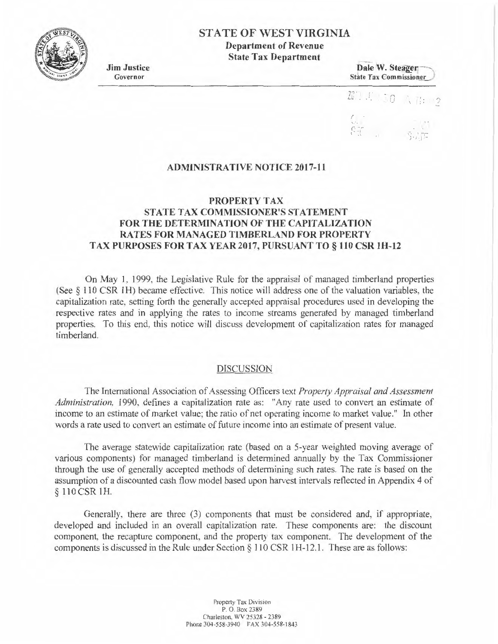

# **STA TE OF WEST VIRGINIA**

**Department of Revenue State Tax Department** 

**Jim Justice**  Governor

**Dale W. Steager** State Tax Commissioner <sup>1</sup>



# **ADMINISTRATIVE NOTICE 2017-11**

## **PROPERTY TAX STATE TAX COMMISSIONER'S STATEMENT FOR THE DETERMINATION OF THE CAPITALIZATION RA TES FOR MANAGED TIMBERLAND FOR PROPERTY TAX PURPOSES FOR TAX YEAR 2017, PURSUANT TO§ 110 CSR lH-12**

On May I, 1999, the Legislative Rule for the appraisal of managed timberland properties (See § 110 CSR **1** H) became effective. This notice will address one of the valuation variables, the capitalization rate, setting forth the generally accepted appraisal procedures used in developing the respective rates and in applying the rates to income streams generated by managed timberland properties. To this end, this notice will discuss development of capitalization rates for managed timberland.

## DISCUSSION

The International Association of Assessing Officers text *Property Appraisal and Assessment Administration,* 1990, defines a capitalization rate as: "Any rate used to convert an estimate of income to an estimate of market value; the ratio of net operating income to market value." In other words a rate used to convert an estimate of future income into an estimate of present value.

The average statewide capitalization rate (based on a 5-year weighted moving average of various components) for managed timberland is determined annually by the Tax Commissioner through the use of generaJly accepted methods of determining such rates. The rate is based on the assumption of a discounted cash flow model based upon harvest intervals reflected in Appendix 4 of § 110 CSR IH.

Generally, there are three (3) components that must be considered and, if appropriate, developed and included in an overall capitalization rate. These components are: the discount component, the recapture component, and the property tax component. The development of the components is discussed in the Rule under Section  $\S$  110 CSR 1H-12.1. These are as follows:

> Property Tax Division P. O. Box 2389 Charleston, WV 25328 - 2389 Phone 304-558-3940 FAX 304-558-1843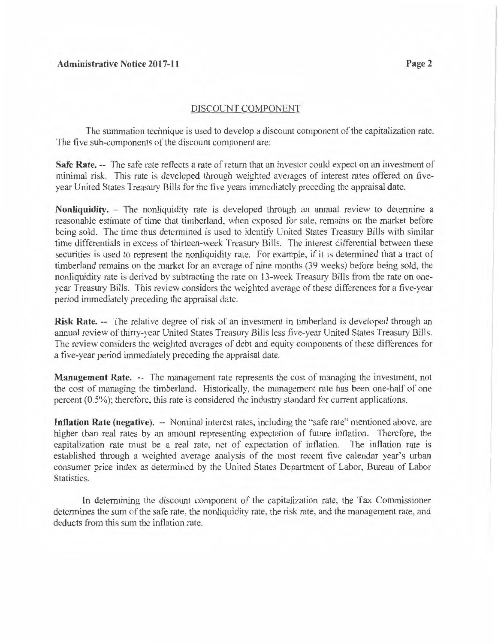## Administrative Notice 2017-11 Page 2

## DISCOUNT COMPONENT

The summation technique is used to develop a discount component of the capitalization rate. The five sub-components of the discount component are:

**Safe Rate.** -- The safe rate reflects a rate of return that an investor could expect on an investment of minimal risk. This rate is developed through weighted averages of interest rates offered on fiveyear United States Treasury Bills for the five years immediately preceding the appraisal date.

**Nonliquidity.** - The nonliquidity rate is developed through an annual review to determine a reasonable estimate of time that timberland, when exposed for sale, remains on the market before being sold. The time thus determined is used to identify United States Treasury Bills with similar time differentials in excess of thirteen-week Treasury Bills. The interest differential between these securities is used to represent the nonliquidity rate. For example. if it is determined that a tract of timberland remains on the market for an average of nine months (39 weeks) before being sold, the nonliquidity rate is derived by subtracting the rate on 13-week Treasury Bills from the rate on oneyear Treasury Bills. This review considers the weighted average of these differences for a five-year period immediately preceding the appraisal date.

**Risk Rate.** -- The relative degree of risk of an investment in timberland is developed through an annual review of thirty-year United States Treasury Bills less five-year United States Treasury Bills. The review considers the weighted averages of debt and equity components of these differences for a five-year period immediately preceding the appraisal date.

**Management Rate.** -- The management rate represents the cost of managing the investment, not the cost of managing the timberland. Historically, the management rate has been one-half of one percent (0.5%); therefore. this rate is considered the industry standard for current applications.

**Inflation Rate (negative).** -- Nominal interest rates, including the "safe rate" mentioned above, are higher than real rates by an amount representing expectation of future inflation. Therefore, the capitalization rate must be a real rate, net of expectation of inflation. The inflation rate is established through a weighted average analysis of the most recent five calendar year's urban consumer price index as detennined by the United States Department of Labor, Bureau of Labor Statistics.

In determining the discount component of the capitalization rate, the Tax Commissioner determines the sum of the safe rate, the nonliquidity rate, the risk rate, and the management rate, and deducts from this sum the inflation rate.